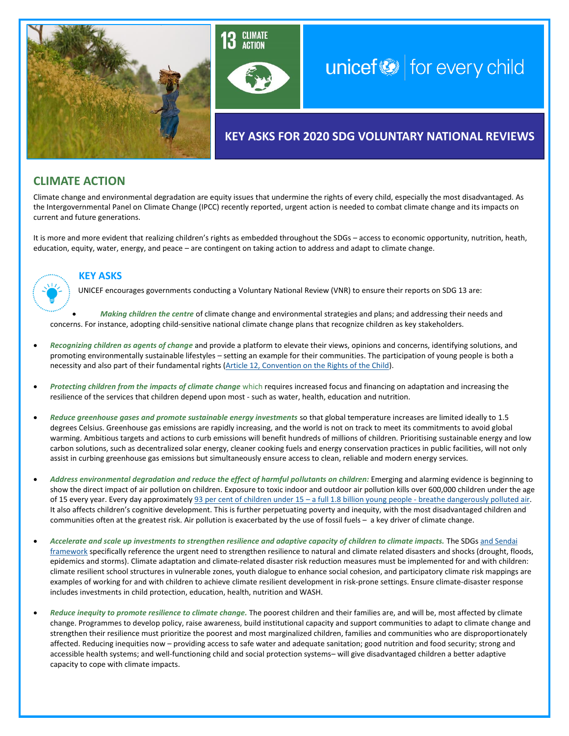



# unicef $\bigcirc$  for every child

## **KEY ASKS FOR 2020 SDG VOLUNTARY NATIONAL REVIEWS**

## **CLIMATE ACTION**

Climate change and environmental degradation are equity issues that undermine the rights of every child, especially the most disadvantaged. As the Intergovernmental Panel on Climate Change (IPCC) recently reported, urgent action is needed to combat climate change and its impacts on current and future generations.

It is more and more evident that realizing children's rights as embedded throughout the SDGs – access to economic opportunity, nutrition, heath, education, equity, water, energy, and peace – are contingent on taking action to address and adapt to climate change.



### **KEY ASKS**

UNICEF encourages governments conducting a Voluntary National Review (VNR) to ensure their reports on SDG 13 are:

• *Making children the centre* of climate change and environmental strategies and plans; and addressing their needs and concerns. For instance, adopting child-sensitive national climate change plans that recognize children as key stakeholders.

- *Recognizing children as agents of change* and provide a platform to elevate their views, opinions and concerns, identifying solutions, and promoting environmentally sustainable lifestyles – setting an example for their communities. The participation of young people is both a necessity and also part of their fundamental rights [\(Article 12, Convention on the Rights of the Child\)](https://www.unicef.org/child-rights-convention/convention-text).
- *Protecting children from the impacts of climate change* which requires increased focus and financing on adaptation and increasing the resilience of the services that children depend upon most - such as water, health, education and nutrition.
- *Reduce greenhouse gases and promote sustainable energy investments* so that global temperature increases are limited ideally to 1.5 degrees Celsius. Greenhouse gas emissions are rapidly increasing, and the world is not on track to meet its commitments to avoid global warming. Ambitious targets and actions to curb emissions will benefit hundreds of millions of children. Prioritising sustainable energy and low carbon solutions, such as decentralized solar energy, cleaner cooking fuels and energy conservation practices in public facilities, will not only assist in curbing greenhouse gas emissions but simultaneously ensure access to clean, reliable and modern energy services.
- *Address environmental degradation and reduce the effect of harmful pollutants on children:* Emerging and alarming evidence is beginning to show the direct impact of air pollution on children. Exposure to toxic indoor and outdoor air pollution kills over 600,000 children under the age of 15 every year. Every day approximately 93 per cent of children under 15 - a full 1.8 billion young people - [breathe dangerously polluted air.](https://www.who.int/news-room/detail/29-10-2018-more-than-90-of-the-world%E2%80%99s-children-breathe-toxic-air-every-day) It also affects children's cognitive development. This is further perpetuating poverty and inequity, with the most disadvantaged children and communities often at the greatest risk. Air pollution is exacerbated by the use of fossil fuels – a key driver of climate change.
- *Accelerate and scale up investments to strengthen resilience and adaptive capacity of children to climate impacts.* The SDG[s and Sendai](https://www.unisdr.org/we/coordinate/sendai-framework)  [framework](https://www.unisdr.org/we/coordinate/sendai-framework) specifically reference the urgent need to strengthen resilience to natural and climate related disasters and shocks (drought, floods, epidemics and storms). Climate adaptation and climate-related disaster risk reduction measures must be implemented for and with children: climate resilient school structures in vulnerable zones, youth dialogue to enhance social cohesion, and participatory climate risk mappings are examples of working for and with children to achieve climate resilient development in risk-prone settings. Ensure climate-disaster response includes investments in child protection, education, health, nutrition and WASH.
- *Reduce inequity to promote resilience to climate change.* The poorest children and their families are, and will be, most affected by climate change. Programmes to develop policy, raise awareness, build institutional capacity and support communities to adapt to climate change and strengthen their resilience must prioritize the poorest and most marginalized children, families and communities who are disproportionately affected. Reducing inequities now – providing access to safe water and adequate sanitation; good nutrition and food security; strong and accessible health systems; and well-functioning child and social protection systems– will give disadvantaged children a better adaptive capacity to cope with climate impacts.